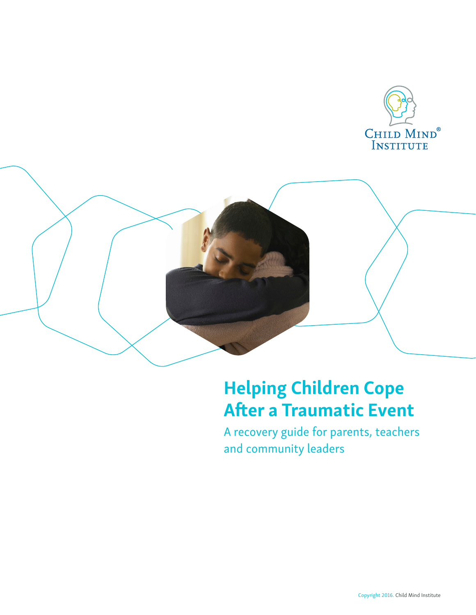



A recovery guide for parents, teachers and community leaders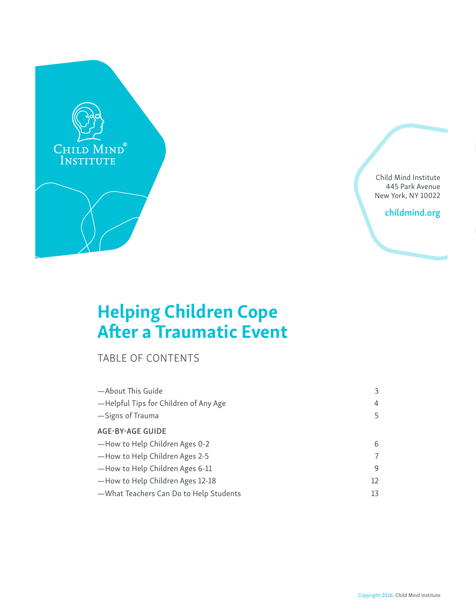

Child Mind Institute 445 Park Avenue New York, NY 10022

childmind.org

# Helping Children Cope After a Traumatic Event

TABLE OF CONTENTS

| -About This Guide                      | 3  |
|----------------------------------------|----|
| -Helpful Tips for Children of Any Age  | 4  |
| -Signs of Trauma                       | 5  |
| <b>AGE-BY-AGE GUIDE</b>                |    |
| -How to Help Children Ages 0-2         | 6  |
| -How to Help Children Ages 2-5         | 7  |
| -How to Help Children Ages 6-11        | 9  |
| -How to Help Children Ages 12-18       | 12 |
| -What Teachers Can Do to Help Students | 13 |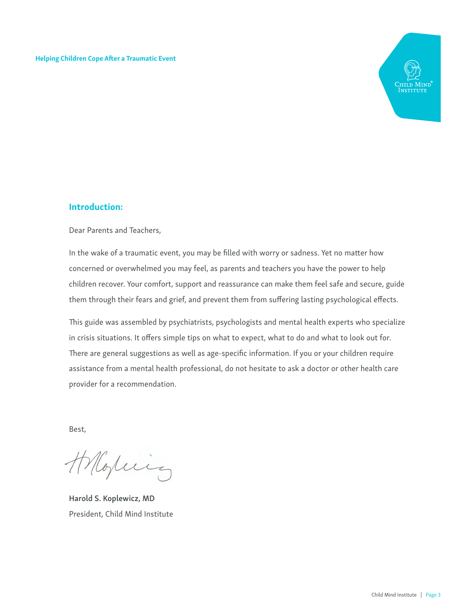

#### Introduction:

Dear Parents and Teachers,

In the wake of a traumatic event, you may be filled with worry or sadness. Yet no matter how concerned or overwhelmed you may feel, as parents and teachers you have the power to help children recover. Your comfort, support and reassurance can make them feel safe and secure, guide them through their fears and grief, and prevent them from suffering lasting psychological effects.

This guide was assembled by psychiatrists, psychologists and mental health experts who specialize in crisis situations. It offers simple tips on what to expect, what to do and what to look out for. There are general suggestions as well as age-specific information. If you or your children require assistance from a mental health professional, do not hesitate to ask a doctor or other health care provider for a recommendation.

Best,

Morring

Harold S. Koplewicz, MD President, Child Mind Institute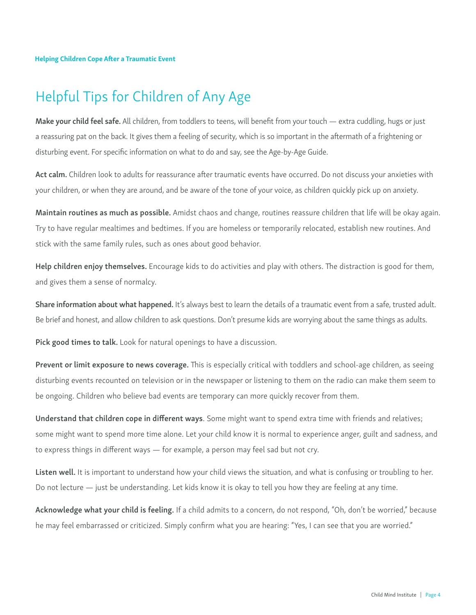## Helpful Tips for Children of Any Age

Make your child feel safe. All children, from toddlers to teens, will benefit from your touch — extra cuddling, hugs or just a reassuring pat on the back. It gives them a feeling of security, which is so important in the aftermath of a frightening or disturbing event. For specific information on what to do and say, see the Age-by-Age Guide.

Act calm. Children look to adults for reassurance after traumatic events have occurred. Do not discuss your anxieties with your children, or when they are around, and be aware of the tone of your voice, as children quickly pick up on anxiety.

Maintain routines as much as possible. Amidst chaos and change, routines reassure children that life will be okay again. Try to have regular mealtimes and bedtimes. If you are homeless or temporarily relocated, establish new routines. And stick with the same family rules, such as ones about good behavior.

Help children enjoy themselves. Encourage kids to do activities and play with others. The distraction is good for them, and gives them a sense of normalcy.

Share information about what happened. It's always best to learn the details of a traumatic event from a safe, trusted adult. Be brief and honest, and allow children to ask questions. Don't presume kids are worrying about the same things as adults.

Pick good times to talk. Look for natural openings to have a discussion.

Prevent or limit exposure to news coverage. This is especially critical with toddlers and school-age children, as seeing disturbing events recounted on television or in the newspaper or listening to them on the radio can make them seem to be ongoing. Children who believe bad events are temporary can more quickly recover from them.

Understand that children cope in different ways. Some might want to spend extra time with friends and relatives; some might want to spend more time alone. Let your child know it is normal to experience anger, guilt and sadness, and to express things in different ways — for example, a person may feel sad but not cry.

Listen well. It is important to understand how your child views the situation, and what is confusing or troubling to her. Do not lecture — just be understanding. Let kids know it is okay to tell you how they are feeling at any time.

Acknowledge what your child is feeling. If a child admits to a concern, do not respond, "Oh, don't be worried," because he may feel embarrassed or criticized. Simply confirm what you are hearing: "Yes, I can see that you are worried."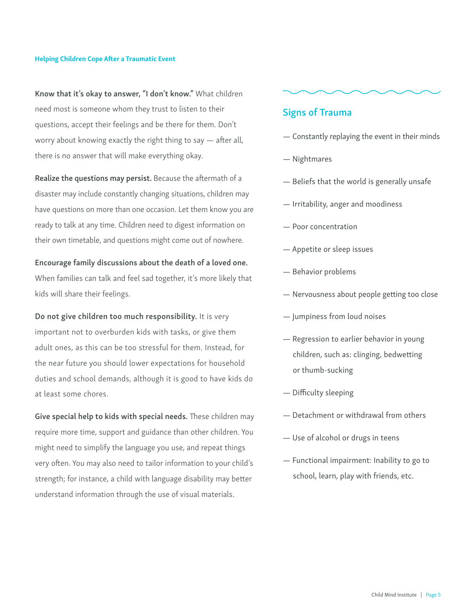Know that it's okay to answer, "I don't know." What children need most is someone whom they trust to listen to their questions, accept their feelings and be there for them. Don't worry about knowing exactly the right thing to say — after all, there is no answer that will make everything okay.

Realize the questions may persist. Because the aftermath of a disaster may include constantly changing situations, children may have questions on more than one occasion. Let them know you are ready to talk at any time. Children need to digest information on their own timetable, and questions might come out of nowhere.

#### Encourage family discussions about the death of a loved one.

When families can talk and feel sad together, it's more likely that kids will share their feelings.

Do not give children too much responsibility. It is very important not to overburden kids with tasks, or give them adult ones, as this can be too stressful for them. Instead, for the near future you should lower expectations for household duties and school demands, although it is good to have kids do at least some chores.

Give special help to kids with special needs. These children may require more time, support and guidance than other children. You might need to simplify the language you use, and repeat things very often. You may also need to tailor information to your child's strength; for instance, a child with language disability may better understand information through the use of visual materials.

#### Signs of Trauma

- Constantly replaying the event in their minds
- Nightmares
- Beliefs that the world is generally unsafe
- Irritability, anger and moodiness
- Poor concentration
- Appetite or sleep issues
- Behavior problems
- Nervousness about people getting too close
- Jumpiness from loud noises
- Regression to earlier behavior in young children, such as: clinging, bedwetting or thumb-sucking
- Difficulty sleeping
- Detachment or withdrawal from others
- Use of alcohol or drugs in teens
- Functional impairment: Inability to go to school, learn, play with friends, etc.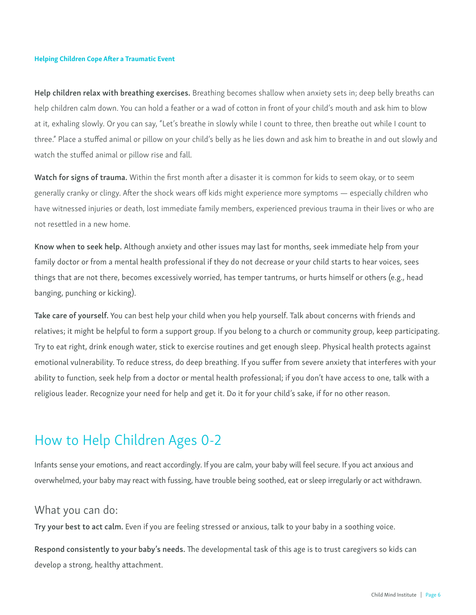Help children relax with breathing exercises. Breathing becomes shallow when anxiety sets in; deep belly breaths can help children calm down. You can hold a feather or a wad of cotton in front of your child's mouth and ask him to blow at it, exhaling slowly. Or you can say, "Let's breathe in slowly while I count to three, then breathe out while I count to three." Place a stuffed animal or pillow on your child's belly as he lies down and ask him to breathe in and out slowly and watch the stuffed animal or pillow rise and fall.

Watch for signs of trauma. Within the first month after a disaster it is common for kids to seem okay, or to seem generally cranky or clingy. After the shock wears off kids might experience more symptoms — especially children who have witnessed injuries or death, lost immediate family members, experienced previous trauma in their lives or who are not resettled in a new home.

Know when to seek help. Although anxiety and other issues may last for months, seek immediate help from your family doctor or from a mental health professional if they do not decrease or your child starts to hear voices, sees things that are not there, becomes excessively worried, has temper tantrums, or hurts himself or others (e.g., head banging, punching or kicking).

Take care of yourself. You can best help your child when you help yourself. Talk about concerns with friends and relatives; it might be helpful to form a support group. If you belong to a church or community group, keep participating. Try to eat right, drink enough water, stick to exercise routines and get enough sleep. Physical health protects against emotional vulnerability. To reduce stress, do deep breathing. If you suffer from severe anxiety that interferes with your ability to function, seek help from a doctor or mental health professional; if you don't have access to one, talk with a religious leader. Recognize your need for help and get it. Do it for your child's sake, if for no other reason.

## How to Help Children Ages 0-2

Infants sense your emotions, and react accordingly. If you are calm, your baby will feel secure. If you act anxious and overwhelmed, your baby may react with fussing, have trouble being soothed, eat or sleep irregularly or act withdrawn.

### What you can do:

Try your best to act calm. Even if you are feeling stressed or anxious, talk to your baby in a soothing voice.

Respond consistently to your baby's needs. The developmental task of this age is to trust caregivers so kids can develop a strong, healthy attachment.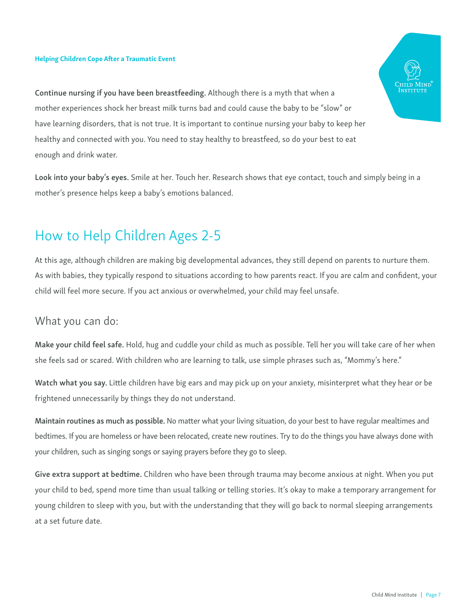Continue nursing if you have been breastfeeding. Although there is a myth that when a mother experiences shock her breast milk turns bad and could cause the baby to be "slow" or have learning disorders, that is not true. It is important to continue nursing your baby to keep her healthy and connected with you. You need to stay healthy to breastfeed, so do your best to eat enough and drink water.

Look into your baby's eyes. Smile at her. Touch her. Research shows that eye contact, touch and simply being in a mother's presence helps keep a baby's emotions balanced.

## How to Help Children Ages 2-5

At this age, although children are making big developmental advances, they still depend on parents to nurture them. As with babies, they typically respond to situations according to how parents react. If you are calm and confident, your child will feel more secure. If you act anxious or overwhelmed, your child may feel unsafe.

### What you can do:

Make your child feel safe. Hold, hug and cuddle your child as much as possible. Tell her you will take care of her when she feels sad or scared. With children who are learning to talk, use simple phrases such as, "Mommy's here."

Watch what you say. Little children have big ears and may pick up on your anxiety, misinterpret what they hear or be frightened unnecessarily by things they do not understand.

Maintain routines as much as possible. No matter what your living situation, do your best to have regular mealtimes and bedtimes. If you are homeless or have been relocated, create new routines. Try to do the things you have always done with your children, such as singing songs or saying prayers before they go to sleep.

Give extra support at bedtime. Children who have been through trauma may become anxious at night. When you put your child to bed, spend more time than usual talking or telling stories. It's okay to make a temporary arrangement for young children to sleep with you, but with the understanding that they will go back to normal sleeping arrangements at a set future date.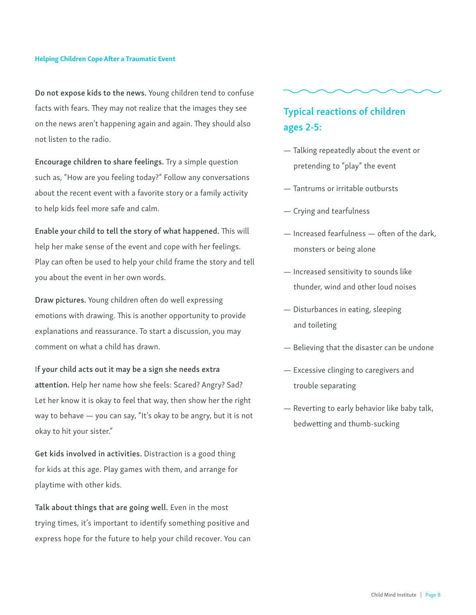Do not expose kids to the news. Young children tend to confuse facts with fears. They may not realize that the images they see on the news aren't happening again and again. They should also not listen to the radio.

Encourage children to share feelings. Try a simple question such as, "How are you feeling today?" Follow any conversations about the recent event with a favorite story or a family activity to help kids feel more safe and calm.

Enable your child to tell the story of what happened. This will help her make sense of the event and cope with her feelings. Play can often be used to help your child frame the story and tell you about the event in her own words.

Draw pictures. Young children often do well expressing emotions with drawing. This is another opportunity to provide explanations and reassurance. To start a discussion, you may comment on what a child has drawn.

If your child acts out it may be a sign she needs extra attention. Help her name how she feels: Scared? Angry? Sad? Let her know it is okay to feel that way, then show her the right way to behave — you can say, "It's okay to be angry, but it is not okay to hit your sister."

Get kids involved in activities. Distraction is a good thing for kids at this age. Play games with them, and arrange for playtime with other kids.

Talk about things that are going well. Even in the most trying times, it's important to identify something positive and express hope for the future to help your child recover. You can

### Typical reactions of children ages 2-5:

- Talking repeatedly about the event or pretending to "play" the event
- Tantrums or irritable outbursts
- Crying and tearfulness
- Increased fearfulness often of the dark, monsters or being alone
- Increased sensitivity to sounds like thunder, wind and other loud noises
- Disturbances in eating, sleeping and toileting
- Believing that the disaster can be undone
- Excessive clinging to caregivers and trouble separating
- Reverting to early behavior like baby talk, bedwetting and thumb-sucking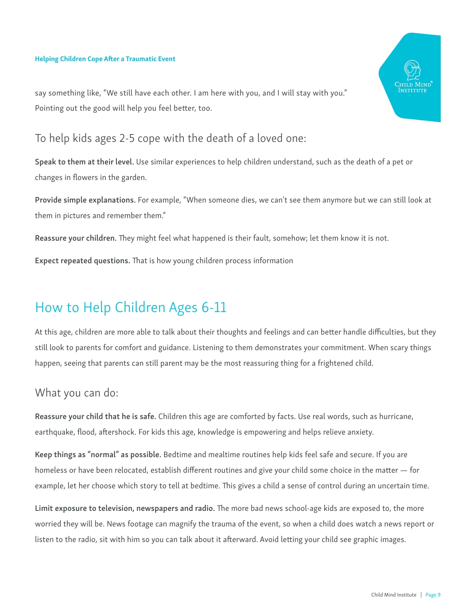

say something like, "We still have each other. I am here with you, and I will stay with you." Pointing out the good will help you feel better, too.

### To help kids ages 2-5 cope with the death of a loved one:

Speak to them at their level. Use similar experiences to help children understand, such as the death of a pet or changes in flowers in the garden.

Provide simple explanations. For example, "When someone dies, we can't see them anymore but we can still look at them in pictures and remember them."

Reassure your children. They might feel what happened is their fault, somehow; let them know it is not.

Expect repeated questions. That is how young children process information

## How to Help Children Ages 6-11

At this age, children are more able to talk about their thoughts and feelings and can better handle difficulties, but they still look to parents for comfort and guidance. Listening to them demonstrates your commitment. When scary things happen, seeing that parents can still parent may be the most reassuring thing for a frightened child.

### What you can do:

Reassure your child that he is safe. Children this age are comforted by facts. Use real words, such as hurricane, earthquake, flood, aftershock. For kids this age, knowledge is empowering and helps relieve anxiety.

Keep things as "normal" as possible. Bedtime and mealtime routines help kids feel safe and secure. If you are homeless or have been relocated, establish different routines and give your child some choice in the matter — for example, let her choose which story to tell at bedtime. This gives a child a sense of control during an uncertain time.

Limit exposure to television, newspapers and radio. The more bad news school-age kids are exposed to, the more worried they will be. News footage can magnify the trauma of the event, so when a child does watch a news report or listen to the radio, sit with him so you can talk about it afterward. Avoid letting your child see graphic images.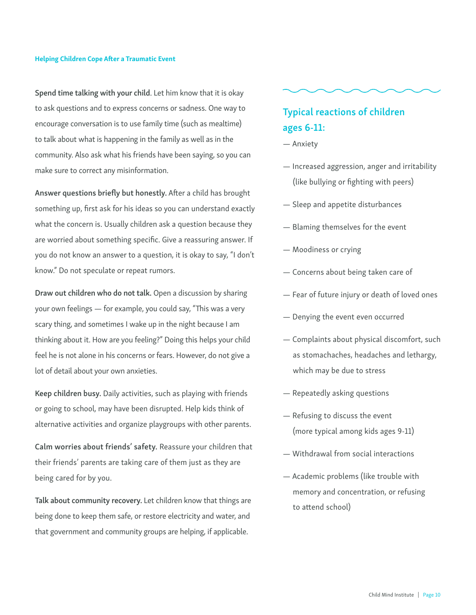Spend time talking with your child. Let him know that it is okay to ask questions and to express concerns or sadness. One way to encourage conversation is to use family time (such as mealtime) to talk about what is happening in the family as well as in the community. Also ask what his friends have been saying, so you can make sure to correct any misinformation.

Answer questions briefly but honestly. After a child has brought something up, first ask for his ideas so you can understand exactly what the concern is. Usually children ask a question because they are worried about something specific. Give a reassuring answer. If you do not know an answer to a question, it is okay to say, "I don't know." Do not speculate or repeat rumors.

Draw out children who do not talk. Open a discussion by sharing your own feelings — for example, you could say, "This was a very scary thing, and sometimes I wake up in the night because I am thinking about it. How are you feeling?" Doing this helps your child feel he is not alone in his concerns or fears. However, do not give a lot of detail about your own anxieties.

Keep children busy. Daily activities, such as playing with friends or going to school, may have been disrupted. Help kids think of alternative activities and organize playgroups with other parents.

Calm worries about friends' safety. Reassure your children that their friends' parents are taking care of them just as they are being cared for by you.

Talk about community recovery. Let children know that things are being done to keep them safe, or restore electricity and water, and that government and community groups are helping, if applicable.

### Typical reactions of children ages 6-11:

- Anxiety
- Increased aggression, anger and irritability (like bullying or fighting with peers)
- Sleep and appetite disturbances
- Blaming themselves for the event
- Moodiness or crying
- Concerns about being taken care of
- Fear of future injury or death of loved ones
- Denying the event even occurred
- Complaints about physical discomfort, such as stomachaches, headaches and lethargy, which may be due to stress
- Repeatedly asking questions
- Refusing to discuss the event (more typical among kids ages 9-11)
- Withdrawal from social interactions
- Academic problems (like trouble with memory and concentration, or refusing to attend school)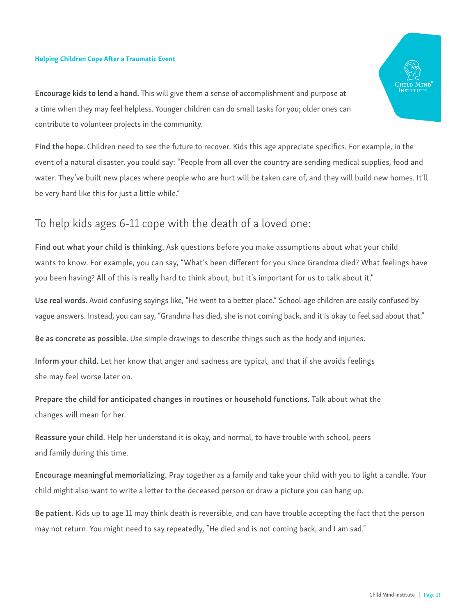Encourage kids to lend a hand. This will give them a sense of accomplishment and purpose at a time when they may feel helpless. Younger children can do small tasks for you; older ones can contribute to volunteer projects in the community.

Find the hope. Children need to see the future to recover. Kids this age appreciate specifics. For example, in the event of a natural disaster, you could say: "People from all over the country are sending medical supplies, food and water. They've built new places where people who are hurt will be taken care of, and they will build new homes. It'll be very hard like this for just a little while."

### To help kids ages 6-11 cope with the death of a loved one:

Find out what your child is thinking. Ask questions before you make assumptions about what your child wants to know. For example, you can say, "What's been different for you since Grandma died? What feelings have you been having? All of this is really hard to think about, but it's important for us to talk about it."

Use real words. Avoid confusing sayings like, "He went to a better place." School-age children are easily confused by vague answers. Instead, you can say, "Grandma has died, she is not coming back, and it is okay to feel sad about that."

Be as concrete as possible. Use simple drawings to describe things such as the body and injuries.

Inform your child. Let her know that anger and sadness are typical, and that if she avoids feelings she may feel worse later on.

Prepare the child for anticipated changes in routines or household functions. Talk about what the changes will mean for her.

Reassure your child. Help her understand it is okay, and normal, to have trouble with school, peers and family during this time.

Encourage meaningful memorializing. Pray together as a family and take your child with you to light a candle. Your child might also want to write a letter to the deceased person or draw a picture you can hang up.

Be patient. Kids up to age 11 may think death is reversible, and can have trouble accepting the fact that the person may not return. You might need to say repeatedly, "He died and is not coming back, and I am sad."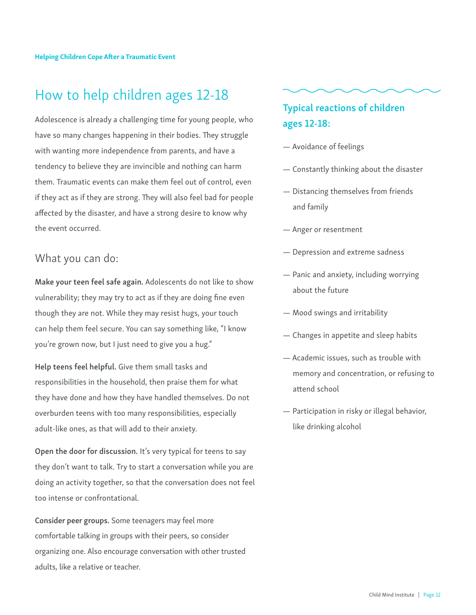## How to help children ages 12-18

Adolescence is already a challenging time for young people, who have so many changes happening in their bodies. They struggle with wanting more independence from parents, and have a tendency to believe they are invincible and nothing can harm them. Traumatic events can make them feel out of control, even if they act as if they are strong. They will also feel bad for people affected by the disaster, and have a strong desire to know why the event occurred.

### What you can do:

Make your teen feel safe again. Adolescents do not like to show vulnerability; they may try to act as if they are doing fine even though they are not. While they may resist hugs, your touch can help them feel secure. You can say something like, "I know you're grown now, but I just need to give you a hug."

Help teens feel helpful. Give them small tasks and responsibilities in the household, then praise them for what they have done and how they have handled themselves. Do not overburden teens with too many responsibilities, especially adult-like ones, as that will add to their anxiety.

Open the door for discussion. It's very typical for teens to say they don't want to talk. Try to start a conversation while you are doing an activity together, so that the conversation does not feel too intense or confrontational.

Consider peer groups. Some teenagers may feel more comfortable talking in groups with their peers, so consider organizing one. Also encourage conversation with other trusted adults, like a relative or teacher.

### Typical reactions of children ages 12-18:

- Avoidance of feelings
- Constantly thinking about the disaster
- Distancing themselves from friends and family
- Anger or resentment
- Depression and extreme sadness
- Panic and anxiety, including worrying about the future
- Mood swings and irritability
- Changes in appetite and sleep habits
- Academic issues, such as trouble with memory and concentration, or refusing to attend school
- Participation in risky or illegal behavior, like drinking alcohol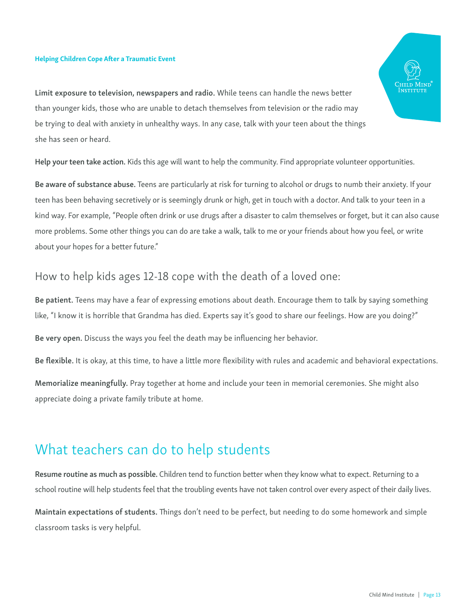Limit exposure to television, newspapers and radio. While teens can handle the news better than younger kids, those who are unable to detach themselves from television or the radio may be trying to deal with anxiety in unhealthy ways. In any case, talk with your teen about the things she has seen or heard.

Help your teen take action. Kids this age will want to help the community. Find appropriate volunteer opportunities.

Be aware of substance abuse. Teens are particularly at risk for turning to alcohol or drugs to numb their anxiety. If your teen has been behaving secretively or is seemingly drunk or high, get in touch with a doctor. And talk to your teen in a kind way. For example, "People often drink or use drugs after a disaster to calm themselves or forget, but it can also cause more problems. Some other things you can do are take a walk, talk to me or your friends about how you feel, or write about your hopes for a better future."

### How to help kids ages 12-18 cope with the death of a loved one:

Be patient. Teens may have a fear of expressing emotions about death. Encourage them to talk by saying something like, "I know it is horrible that Grandma has died. Experts say it's good to share our feelings. How are you doing?"

Be very open. Discuss the ways you feel the death may be influencing her behavior.

Be flexible. It is okay, at this time, to have a little more flexibility with rules and academic and behavioral expectations.

Memorialize meaningfully. Pray together at home and include your teen in memorial ceremonies. She might also appreciate doing a private family tribute at home.

## What teachers can do to help students

Resume routine as much as possible. Children tend to function better when they know what to expect. Returning to a school routine will help students feel that the troubling events have not taken control over every aspect of their daily lives.

Maintain expectations of students. Things don't need to be perfect, but needing to do some homework and simple classroom tasks is very helpful.